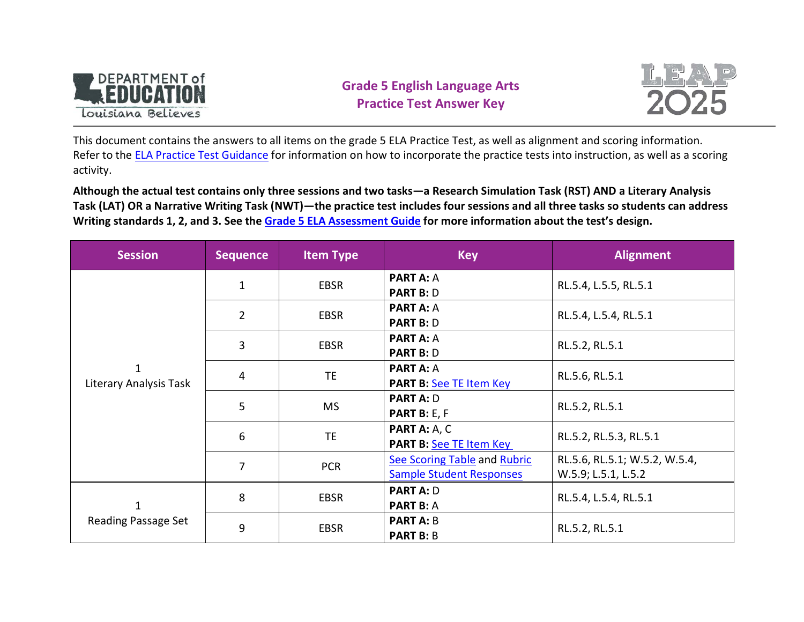

# **Grade 5 English Language Arts Practice Test Answer Key**



This document contains the answers to all items on the grade 5 ELA Practice Test, as well as alignment and scoring information. Refer to the [ELA Practice Test Guidance](http://www.louisianabelieves.com/docs/default-source/assessment/leap-2025-ela-practice-test-guidance.docx?sfvrsn=5) for information on how to incorporate the practice tests into instruction, as well as a scoring activity.

**Although the actual test contains only three sessions and two tasks—a Research Simulation Task (RST) AND a Literary Analysis Task (LAT) OR a Narrative Writing Task (NWT)—the practice test includes four sessions and all three tasks so students can address Writing standards 1, 2, and 3. See the [Grade 5 ELA Assessment Guide](http://www.louisianabelieves.com/docs/default-source/assessment-guidance/leap-2025-assessment-guide-for-grade-5-english-language-arts.pdf?sfvrsn=12) for more information about the test's design.**

| <b>Session</b>                         | <b>Sequence</b> | <b>Item Type</b> | <b>Key</b>                                                      | <b>Alignment</b>                                     |
|----------------------------------------|-----------------|------------------|-----------------------------------------------------------------|------------------------------------------------------|
|                                        | $\mathbf{1}$    | <b>EBSR</b>      | <b>PART A: A</b><br><b>PART B: D</b>                            | RL.5.4, L.5.5, RL.5.1                                |
|                                        | $\overline{2}$  | <b>EBSR</b>      | <b>PART A: A</b><br><b>PART B: D</b>                            | RL.5.4, L.5.4, RL.5.1                                |
|                                        | 3               | <b>EBSR</b>      | <b>PART A: A</b><br><b>PART B: D</b>                            | RL.5.2, RL.5.1                                       |
| $\mathbf{1}$<br>Literary Analysis Task | 4               | TE.              | <b>PART A: A</b><br><b>PART B: See TE Item Key</b>              | RL.5.6, RL.5.1                                       |
|                                        | 5               | <b>MS</b>        | <b>PART A: D</b><br>PART B: E, F                                | RL.5.2, RL.5.1                                       |
|                                        | 6               | <b>TE</b>        | PART A: A, C<br><b>PART B: See TE Item Key</b>                  | RL.5.2, RL.5.3, RL.5.1                               |
|                                        | $\overline{7}$  | <b>PCR</b>       | See Scoring Table and Rubric<br><b>Sample Student Responses</b> | RL.5.6, RL.5.1; W.5.2, W.5.4,<br>W.5.9; L.5.1, L.5.2 |
| $\mathbf{1}$                           | 8               | <b>EBSR</b>      | <b>PART A: D</b><br><b>PART B: A</b>                            | RL.5.4, L.5.4, RL.5.1                                |
| Reading Passage Set                    | 9               | <b>EBSR</b>      | <b>PART A: B</b><br><b>PART B: B</b>                            | RL.5.2, RL.5.1                                       |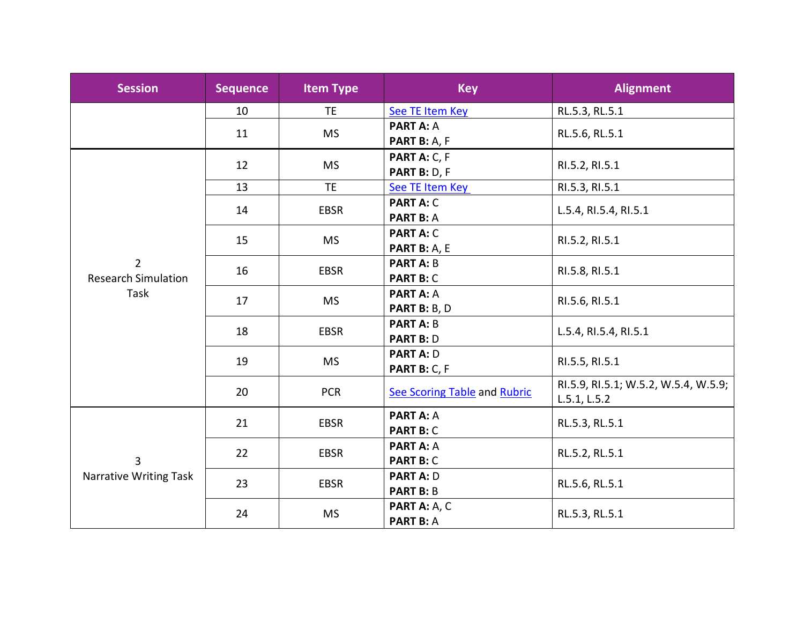| <b>Session</b>              | <b>Sequence</b> | <b>Item Type</b>                | <b>Key</b>                   | <b>Alignment</b>                     |  |
|-----------------------------|-----------------|---------------------------------|------------------------------|--------------------------------------|--|
|                             | 10              | TE.                             | See TE Item Key              | RL.5.3, RL.5.1                       |  |
|                             | 11              | <b>MS</b>                       | <b>PART A: A</b>             | RL.5.6, RL.5.1                       |  |
|                             |                 |                                 | PART B: A, F                 |                                      |  |
|                             | 12              | <b>MS</b>                       | PART A: C, F                 | RI.5.2, RI.5.1                       |  |
|                             |                 |                                 | PART B: D, F                 |                                      |  |
|                             | 13              | <b>TE</b>                       | See TE Item Key              | RI.5.3, RI.5.1                       |  |
|                             | 14              | <b>EBSR</b>                     | <b>PART A: C</b>             | L.5.4, RI.5.4, RI.5.1                |  |
|                             |                 |                                 | <b>PART B: A</b>             |                                      |  |
|                             | 15              | <b>MS</b>                       | <b>PART A: C</b>             | RI.5.2, RI.5.1                       |  |
|                             |                 |                                 | PART B: A, E                 |                                      |  |
| $\overline{2}$              | 16              | <b>EBSR</b>                     | <b>PART A: B</b>             | RI.5.8, RI.5.1                       |  |
| <b>Research Simulation</b>  |                 |                                 | <b>PART B: C</b>             |                                      |  |
| Task                        | 17              | <b>MS</b>                       | <b>PART A: A</b>             | RI.5.6, RI.5.1                       |  |
|                             |                 |                                 | PART B: B, D                 |                                      |  |
|                             | 18              | <b>EBSR</b>                     | <b>PART A: B</b>             | L.5.4, RI.5.4, RI.5.1                |  |
|                             |                 |                                 | <b>PART B: D</b>             |                                      |  |
|                             |                 | <b>MS</b><br>19<br>PART B: C, F | <b>PART A: D</b>             | RI.5.5, RI.5.1                       |  |
|                             |                 |                                 |                              |                                      |  |
|                             | 20              | <b>PCR</b>                      | See Scoring Table and Rubric | RI.5.9, RI.5.1; W.5.2, W.5.4, W.5.9; |  |
|                             |                 |                                 |                              | L.5.1, L.5.2                         |  |
|                             | 21              | EBSR                            | <b>PART A: A</b>             | RL.5.3, RL.5.1                       |  |
| 3<br>Narrative Writing Task |                 |                                 | <b>PART B: C</b>             |                                      |  |
|                             | 22              | <b>EBSR</b>                     | <b>PART A: A</b>             | RL.5.2, RL.5.1                       |  |
|                             |                 |                                 | <b>PART B: C</b>             |                                      |  |
|                             | 23              | <b>EBSR</b>                     | <b>PART A: D</b>             | RL.5.6, RL.5.1                       |  |
|                             |                 |                                 | <b>PART B: B</b>             |                                      |  |
|                             | 24              |                                 | PART A: A, C                 | RL.5.3, RL.5.1                       |  |
|                             | <b>MS</b>       | <b>PART B: A</b>                |                              |                                      |  |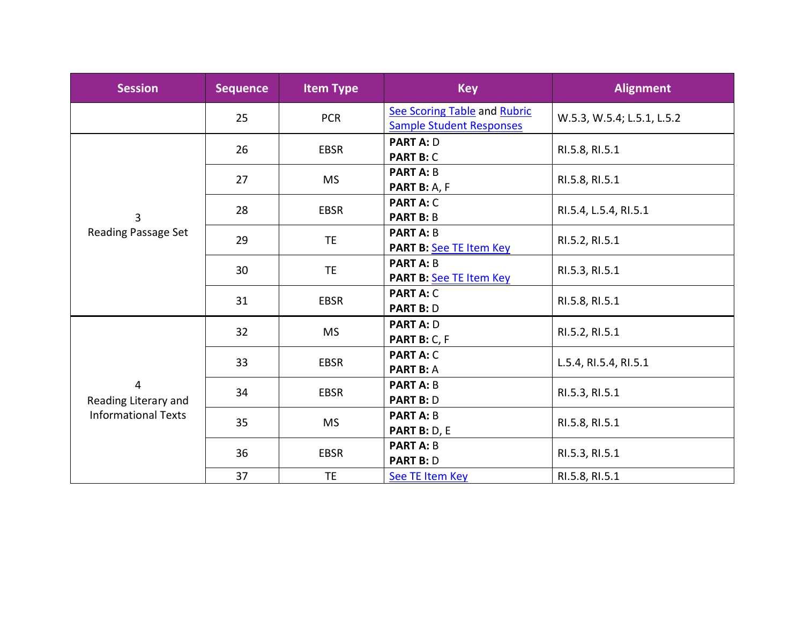| <b>Session</b>                                          | <b>Sequence</b> | <b>Item Type</b> | <b>Key</b>                                                      | <b>Alignment</b>           |  |
|---------------------------------------------------------|-----------------|------------------|-----------------------------------------------------------------|----------------------------|--|
|                                                         | 25              | <b>PCR</b>       | See Scoring Table and Rubric<br><b>Sample Student Responses</b> | W.5.3, W.5.4; L.5.1, L.5.2 |  |
|                                                         | 26              | <b>EBSR</b>      | <b>PART A: D</b><br><b>PART B: C</b>                            | RI.5.8, RI.5.1             |  |
|                                                         | 27              | <b>MS</b>        | <b>PART A: B</b><br>PART B: A, F                                | RI.5.8, RI.5.1             |  |
| $\overline{3}$                                          | 28              | <b>EBSR</b>      | <b>PART A: C</b><br><b>PART B: B</b>                            | RI.5.4, L.5.4, RI.5.1      |  |
| Reading Passage Set                                     | 29              | TE.              | <b>PART A: B</b><br>PART B: See TE Item Key                     | RI.5.2, RI.5.1             |  |
|                                                         | 30              | <b>TE</b>        | <b>PART A: B</b><br>PART B: See TE Item Key                     | RI.5.3, RI.5.1             |  |
|                                                         | 31              | <b>EBSR</b>      | <b>PART A: C</b><br><b>PART B: D</b>                            | RI.5.8, RI.5.1             |  |
| 4<br>Reading Literary and<br><b>Informational Texts</b> | 32              | <b>MS</b>        | <b>PART A: D</b><br>PART B: C, F                                | RI.5.2, RI.5.1             |  |
|                                                         | 33              | <b>EBSR</b>      | <b>PART A: C</b><br><b>PART B: A</b>                            | L.5.4, RI.5.4, RI.5.1      |  |
|                                                         | 34              | <b>EBSR</b>      | <b>PART A: B</b><br><b>PART B: D</b>                            | RI.5.3, RI.5.1             |  |
|                                                         | 35              | <b>MS</b>        | <b>PART A: B</b><br>PART B: D, E                                | RI.5.8, RI.5.1             |  |
|                                                         | 36              | <b>EBSR</b>      | <b>PART A: B</b><br><b>PART B: D</b>                            | RI.5.3, RI.5.1             |  |
|                                                         | 37              | <b>TE</b>        | See TE Item Key                                                 | RI.5.8, RI.5.1             |  |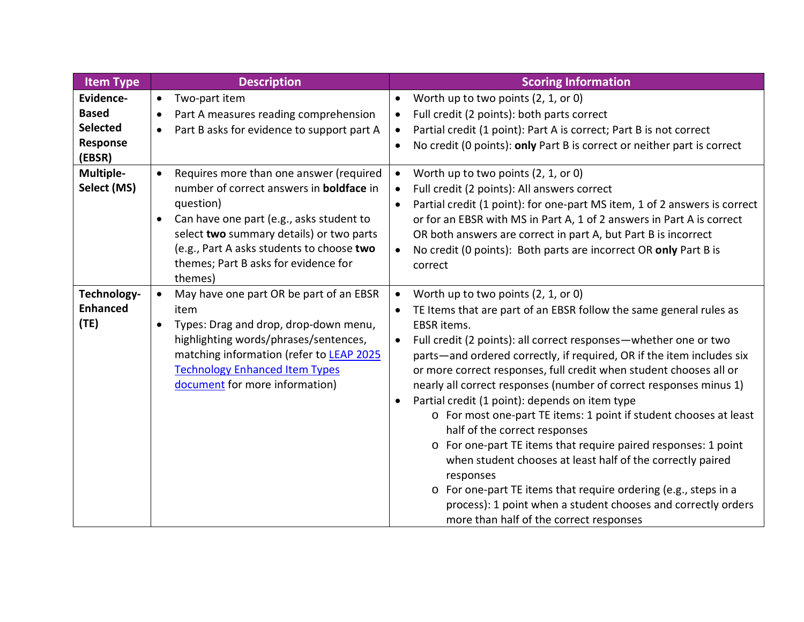| <b>Item Type</b>                                                   | <b>Description</b>                                                                                                                                                                                                                                                                                                        | <b>Scoring Information</b>                                                                                                                                                                                                                                                                                                                                                                                                                                                                                                                                                                                                                                                                                                                                                                                                                                                                                         |
|--------------------------------------------------------------------|---------------------------------------------------------------------------------------------------------------------------------------------------------------------------------------------------------------------------------------------------------------------------------------------------------------------------|--------------------------------------------------------------------------------------------------------------------------------------------------------------------------------------------------------------------------------------------------------------------------------------------------------------------------------------------------------------------------------------------------------------------------------------------------------------------------------------------------------------------------------------------------------------------------------------------------------------------------------------------------------------------------------------------------------------------------------------------------------------------------------------------------------------------------------------------------------------------------------------------------------------------|
| Evidence-<br><b>Based</b><br><b>Selected</b><br>Response<br>(EBSR) | Two-part item<br>$\bullet$<br>Part A measures reading comprehension<br>$\bullet$<br>Part B asks for evidence to support part A<br>$\bullet$                                                                                                                                                                               | Worth up to two points (2, 1, or 0)<br>Full credit (2 points): both parts correct<br>Partial credit (1 point): Part A is correct; Part B is not correct<br>No credit (0 points): only Part B is correct or neither part is correct                                                                                                                                                                                                                                                                                                                                                                                                                                                                                                                                                                                                                                                                                 |
| Multiple-<br>Select (MS)                                           | Requires more than one answer (required<br>$\bullet$<br>number of correct answers in <b>boldface</b> in<br>question)<br>Can have one part (e.g., asks student to<br>$\bullet$<br>select two summary details) or two parts<br>(e.g., Part A asks students to choose two<br>themes; Part B asks for evidence for<br>themes) | Worth up to two points (2, 1, or 0)<br>Full credit (2 points): All answers correct<br>Partial credit (1 point): for one-part MS item, 1 of 2 answers is correct<br>or for an EBSR with MS in Part A, 1 of 2 answers in Part A is correct<br>OR both answers are correct in part A, but Part B is incorrect<br>No credit (0 points): Both parts are incorrect OR only Part B is<br>correct                                                                                                                                                                                                                                                                                                                                                                                                                                                                                                                          |
| Technology-<br><b>Enhanced</b><br>(TE)                             | May have one part OR be part of an EBSR<br>$\bullet$<br>item<br>Types: Drag and drop, drop-down menu,<br>$\bullet$<br>highlighting words/phrases/sentences,<br>matching information (refer to LEAP 2025<br><b>Technology Enhanced Item Types</b><br>document for more information)                                        | Worth up to two points (2, 1, or 0)<br>$\bullet$<br>TE Items that are part of an EBSR follow the same general rules as<br>EBSR items.<br>Full credit (2 points): all correct responses-whether one or two<br>parts—and ordered correctly, if required, OR if the item includes six<br>or more correct responses, full credit when student chooses all or<br>nearly all correct responses (number of correct responses minus 1)<br>Partial credit (1 point): depends on item type<br>o For most one-part TE items: 1 point if student chooses at least<br>half of the correct responses<br>o For one-part TE items that require paired responses: 1 point<br>when student chooses at least half of the correctly paired<br>responses<br>o For one-part TE items that require ordering (e.g., steps in a<br>process): 1 point when a student chooses and correctly orders<br>more than half of the correct responses |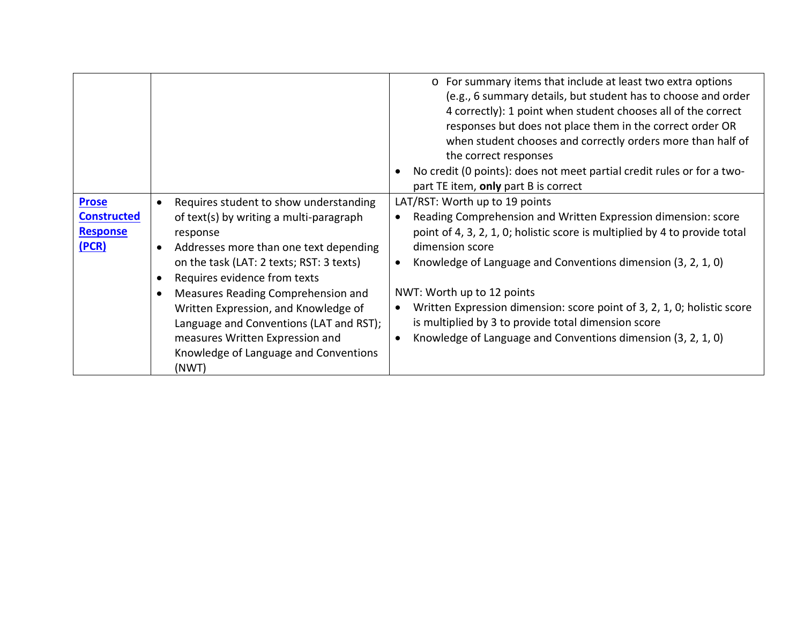|                                                                |                                                                                                                                                                                                                                                                                                                                                                                                                                                                                       | o For summary items that include at least two extra options<br>(e.g., 6 summary details, but student has to choose and order<br>4 correctly): 1 point when student chooses all of the correct<br>responses but does not place them in the correct order OR<br>when student chooses and correctly orders more than half of<br>the correct responses<br>No credit (0 points): does not meet partial credit rules or for a two-<br>part TE item, only part B is correct                                                                                 |
|----------------------------------------------------------------|---------------------------------------------------------------------------------------------------------------------------------------------------------------------------------------------------------------------------------------------------------------------------------------------------------------------------------------------------------------------------------------------------------------------------------------------------------------------------------------|------------------------------------------------------------------------------------------------------------------------------------------------------------------------------------------------------------------------------------------------------------------------------------------------------------------------------------------------------------------------------------------------------------------------------------------------------------------------------------------------------------------------------------------------------|
| <b>Prose</b><br><b>Constructed</b><br><b>Response</b><br>(PCR) | Requires student to show understanding<br>$\bullet$<br>of text(s) by writing a multi-paragraph<br>response<br>Addresses more than one text depending<br>$\bullet$<br>on the task (LAT: 2 texts; RST: 3 texts)<br>Requires evidence from texts<br>$\bullet$<br>Measures Reading Comprehension and<br>$\bullet$<br>Written Expression, and Knowledge of<br>Language and Conventions (LAT and RST);<br>measures Written Expression and<br>Knowledge of Language and Conventions<br>(NWT) | LAT/RST: Worth up to 19 points<br>Reading Comprehension and Written Expression dimension: score<br>$\bullet$<br>point of 4, 3, 2, 1, 0; holistic score is multiplied by 4 to provide total<br>dimension score<br>Knowledge of Language and Conventions dimension (3, 2, 1, 0)<br>$\bullet$<br>NWT: Worth up to 12 points<br>Written Expression dimension: score point of 3, 2, 1, 0; holistic score<br>$\bullet$<br>is multiplied by 3 to provide total dimension score<br>Knowledge of Language and Conventions dimension (3, 2, 1, 0)<br>$\bullet$ |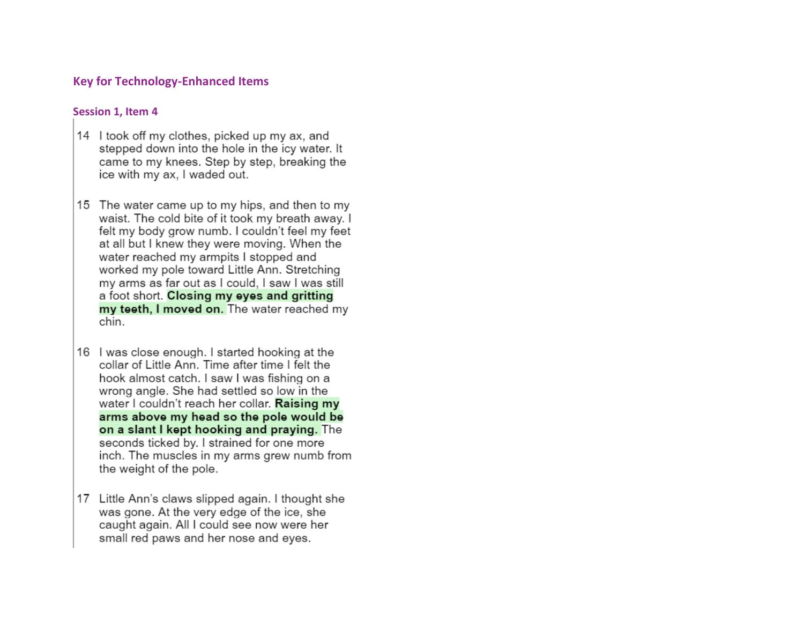## **Key for Technology-Enhanced Items**

### <span id="page-5-0"></span>**Session 1, Item 4**

- 14 I took off my clothes, picked up my ax, and stepped down into the hole in the icy water. It came to my knees. Step by step, breaking the ice with my ax. I waded out.
- 15 The water came up to my hips, and then to my waist. The cold bite of it took my breath away. I felt my body grow numb. I couldn't feel my feet at all but I knew they were moving. When the water reached my armpits I stopped and worked my pole toward Little Ann. Stretching my arms as far out as I could, I saw I was still a foot short. Closing my eyes and gritting my teeth, I moved on. The water reached my chin.
- 16 I was close enough. I started hooking at the collar of Little Ann. Time after time I felt the hook almost catch. I saw I was fishing on a wrong angle. She had settled so low in the water I couldn't reach her collar. Raising my arms above my head so the pole would be on a slant I kept hooking and praying. The seconds ticked by. I strained for one more inch. The muscles in my arms grew numb from the weight of the pole.
- 17 Little Ann's claws slipped again. I thought she was gone. At the very edge of the ice, she caught again. All I could see now were her small red paws and her nose and eyes.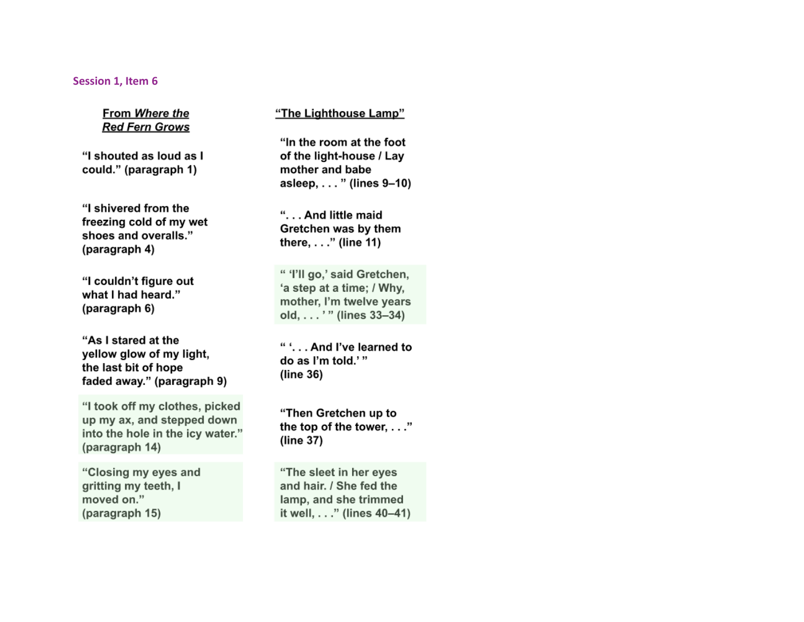#### <span id="page-6-0"></span>Session 1, Item 6

From Where the **Red Fern Grows** 

"I shouted as loud as I could." (paragraph 1)

"I shivered from the freezing cold of my wet shoes and overalls." (paragraph 4)

"I couldn't figure out what I had heard." (paragraph 6)

"As I stared at the yellow glow of my light, the last bit of hope faded away." (paragraph 9)

"I took off my clothes, picked up my ax, and stepped down into the hole in the icy water." (paragraph 14)

"Closing my eyes and gritting my teeth, I moved on." (paragraph 15)

"The Lighthouse Lamp"

"In the room at the foot of the light-house / Lay mother and babe asleep, . . . " (lines 9-10)

"... And little maid Gretchen was by them there, . . ." (line 11)

" 'I'll go,' said Gretchen, 'a step at a time; / Why, mother, I'm twelve years old, . . . ' " (lines 33-34)

" '. . . And I've learned to do as I'm told.'"  $(line 36)$ 

"Then Gretchen up to the top of the tower, . . ." (line 37)

"The sleet in her eyes and hair. / She fed the lamp, and she trimmed it well, . . ." (lines 40-41)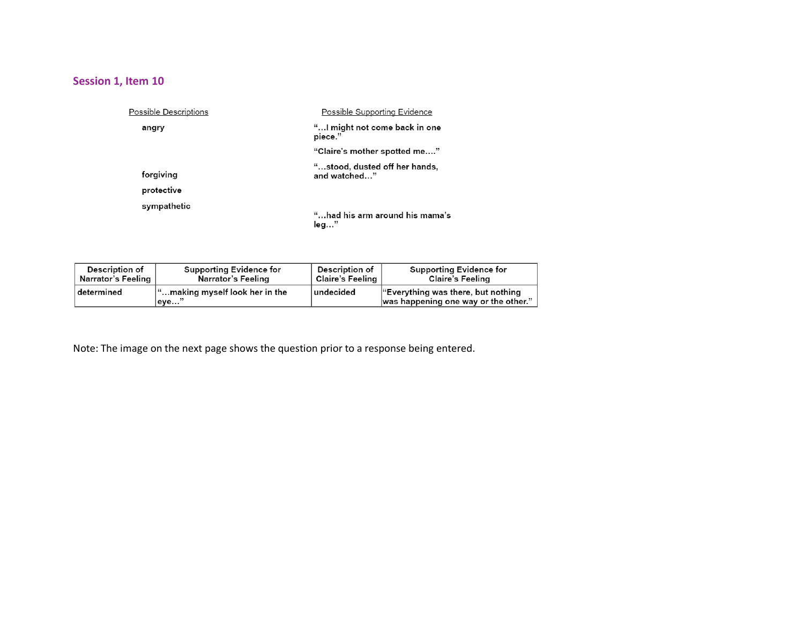# <span id="page-7-0"></span>**Session 1, Item 10**

| Possible Descriptions   | Possible Supporting Evidence                  |
|-------------------------|-----------------------------------------------|
| angry                   | "I might not come back in one<br>piece."      |
|                         | "Claire's mother spotted me"                  |
| forgiving<br>protective | "stood, dusted off her hands,<br>and watched" |
| sympathetic             | "had his arm around his mama's<br>leg…"       |

| <b>Description of</b> | <b>Supporting Evidence for</b>                  | Description of       | <b>Supporting Evidence for</b>                                                         |
|-----------------------|-------------------------------------------------|----------------------|----------------------------------------------------------------------------------------|
| Narrator's Feeling    | Narrator's Feeling                              | ∣ Claire's Feeling ∣ | <b>Claire's Feeling</b>                                                                |
| determined            | $\lvert$ "making myself look her in the<br>eve" | ∣undecided           | $\mathbf{F}$ Everything was there, but nothing<br>was happening one way or the other." |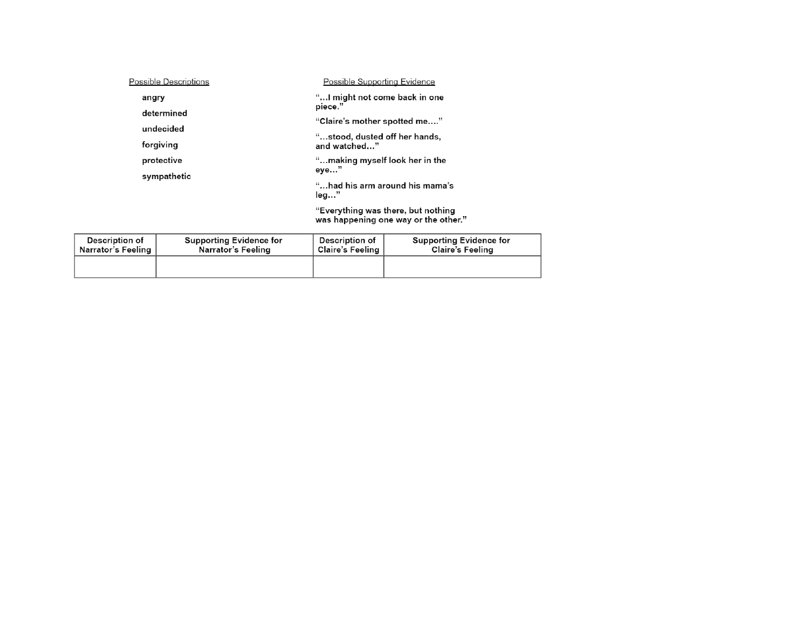| Possible Supporting Evidence                                               |
|----------------------------------------------------------------------------|
| "I might not come back in one<br>piece."                                   |
| "Claire's mother spotted me…."                                             |
| "…stood, dusted off her hands,                                             |
| and watched"                                                               |
| "making myself look her in the<br>eye…"                                    |
| "had his arm around his mama's                                             |
| leg"                                                                       |
| "Everything was there, but nothing<br>was happening one way or the other." |
|                                                                            |

| Description of     | <b>Supporting Evidence for</b> | Description of     | Supporting Evidence for |
|--------------------|--------------------------------|--------------------|-------------------------|
| Narrator's Feeling | Narrator's Feeling             | Claire's Feeling ∣ | Claire's Feeling        |
|                    |                                |                    |                         |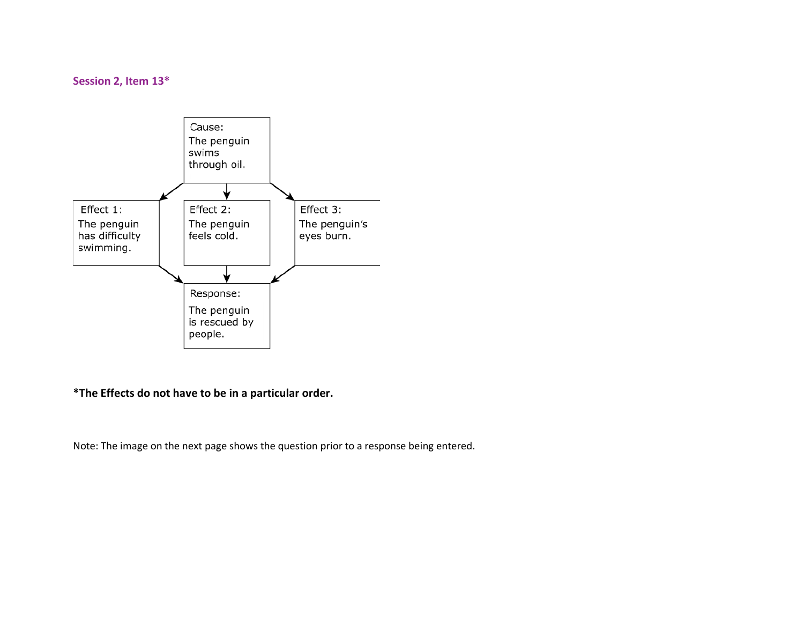### <span id="page-9-0"></span>**Session 2, Item 13\***



**\*The Effects do not have to be in a particular order.**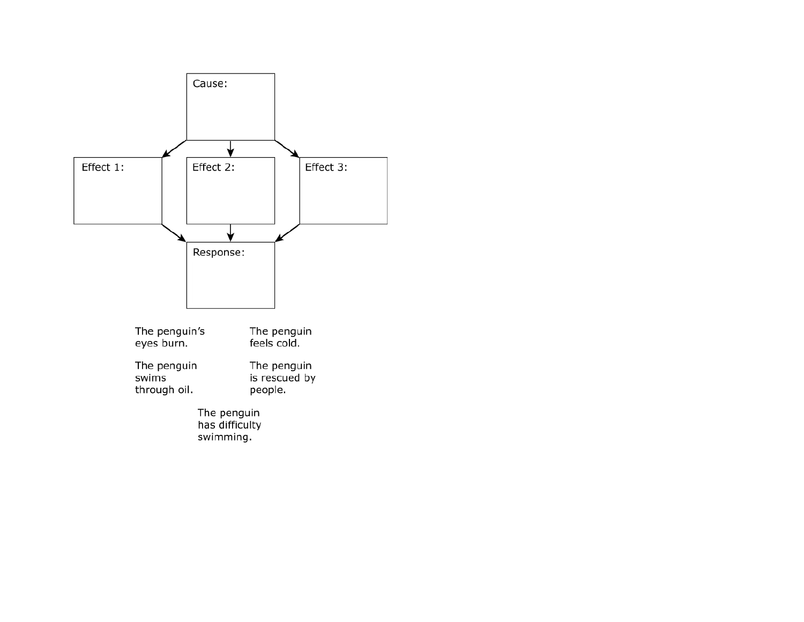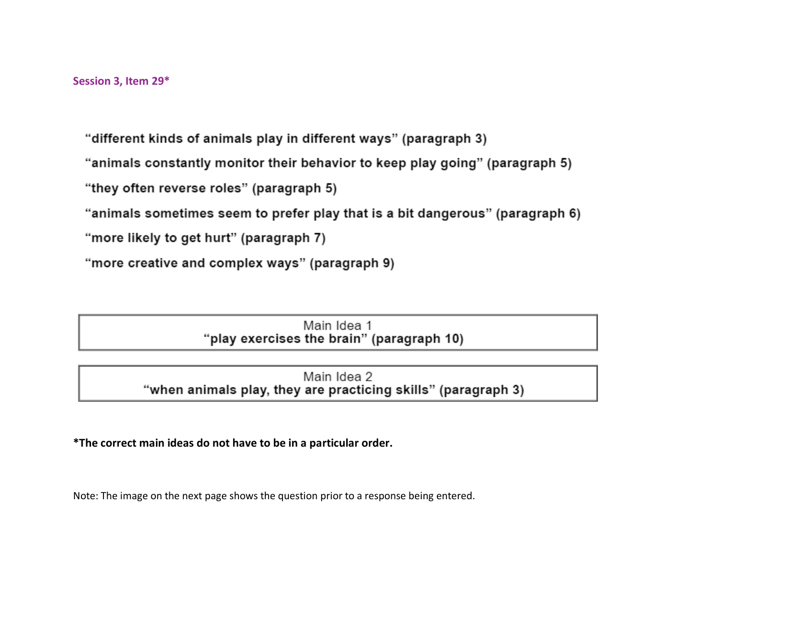<span id="page-11-0"></span>"different kinds of animals play in different ways" (paragraph 3)

"animals constantly monitor their behavior to keep play going" (paragraph 5)

"they often reverse roles" (paragraph 5)

"animals sometimes seem to prefer play that is a bit dangerous" (paragraph 6)

"more likely to get hurt" (paragraph 7)

"more creative and complex ways" (paragraph 9)

Main Idea 1 "play exercises the brain" (paragraph 10)

Main Idea 2 "when animals play, they are practicing skills" (paragraph 3)

**\*The correct main ideas do not have to be in a particular order.**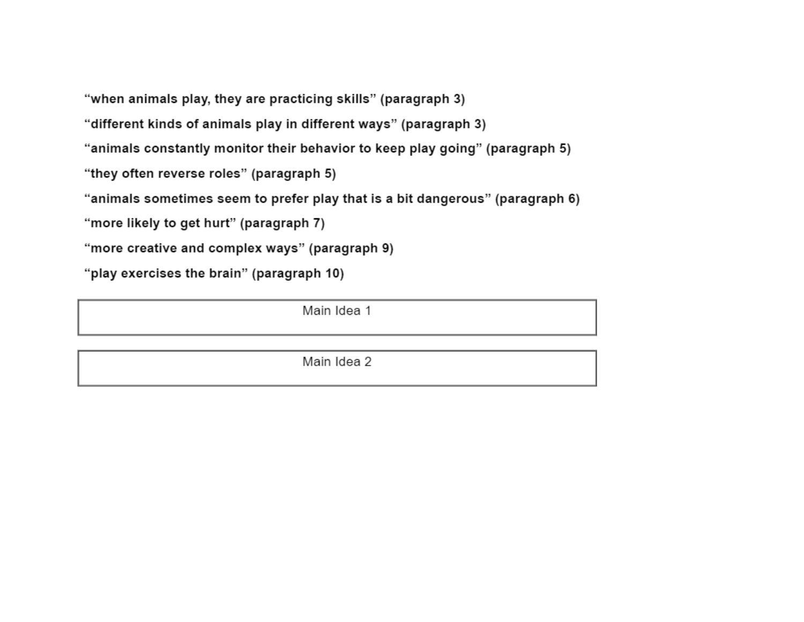"when animals play, they are practicing skills" (paragraph 3)

"different kinds of animals play in different ways" (paragraph 3)

"animals constantly monitor their behavior to keep play going" (paragraph 5)

"they often reverse roles" (paragraph 5)

"animals sometimes seem to prefer play that is a bit dangerous" (paragraph 6)

"more likely to get hurt" (paragraph 7)

"more creative and complex ways" (paragraph 9)

"play exercises the brain" (paragraph 10)

Main Idea 1

Main Idea 2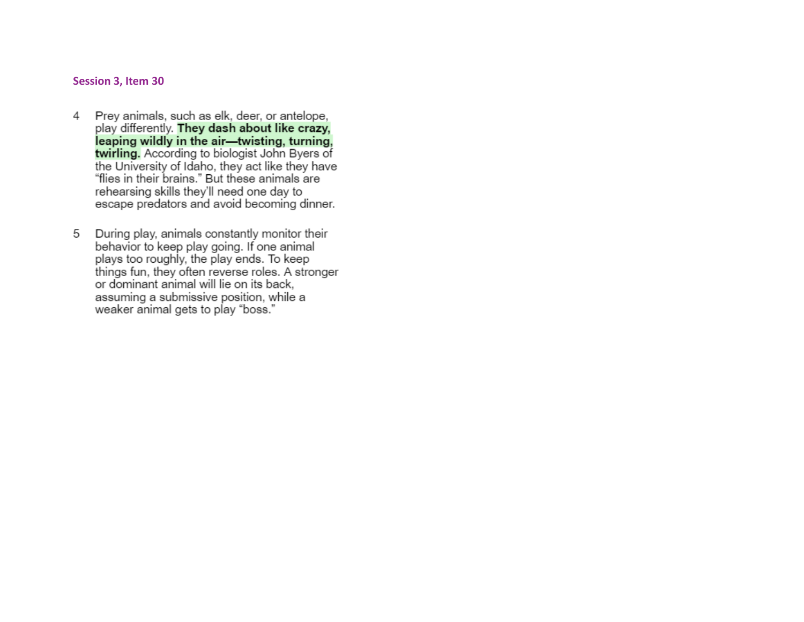#### <span id="page-13-0"></span>**Session 3, Item 30**

- 4 Prey animals, such as elk, deer, or antelope, play differently. They dash about like crazy, leaping wildly in the air-twisting, turning, twirling. According to biologist John Byers of the University of Idaho, they act like they have "flies in their brains." But these animals are rehearsing skills they'll need one day to escape predators and avoid becoming dinner.
- During play, animals constantly monitor their 5 behavior to keep play going. If one animal plays too roughly, the play ends. To keep things fun, they often reverse roles. A stronger or dominant animal will lie on its back. assuming a submissive position, while a weaker animal gets to play "boss."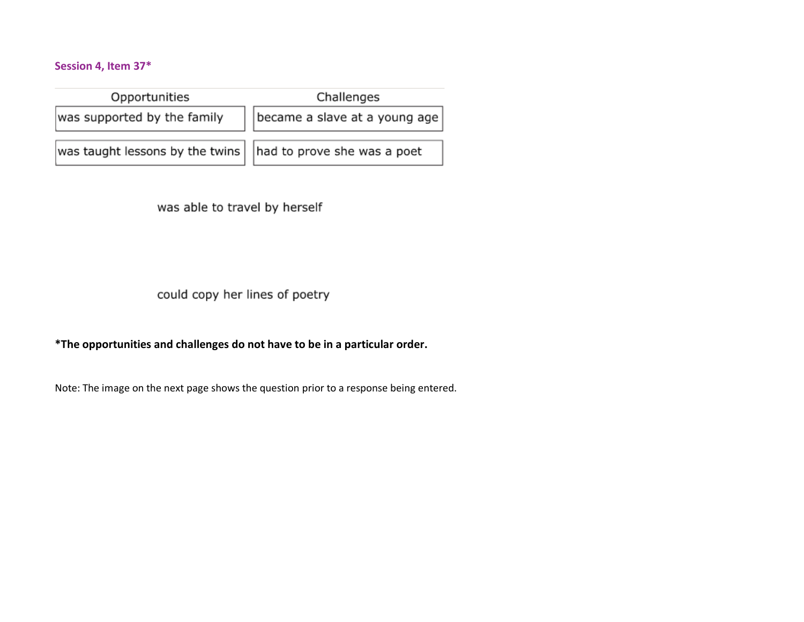## <span id="page-14-0"></span>**Session 4, Item 37\***

| Opportunities                                                       | Challenges                    |  |  |
|---------------------------------------------------------------------|-------------------------------|--|--|
| was supported by the family                                         | became a slave at a young age |  |  |
| was taught lessons by the twins $\vert$ had to prove she was a poet |                               |  |  |

was able to travel by herself

could copy her lines of poetry

**\*The opportunities and challenges do not have to be in a particular order.**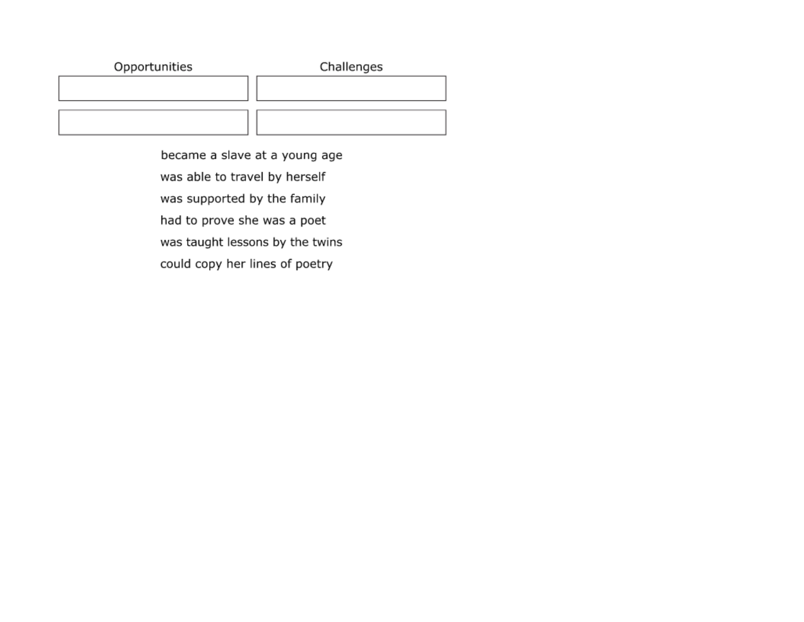| Opportunities | Challenges |
|---------------|------------|
|               |            |
|               |            |

became a slave at a young age was able to travel by herself was supported by the family had to prove she was a poet was taught lessons by the twins could copy her lines of poetry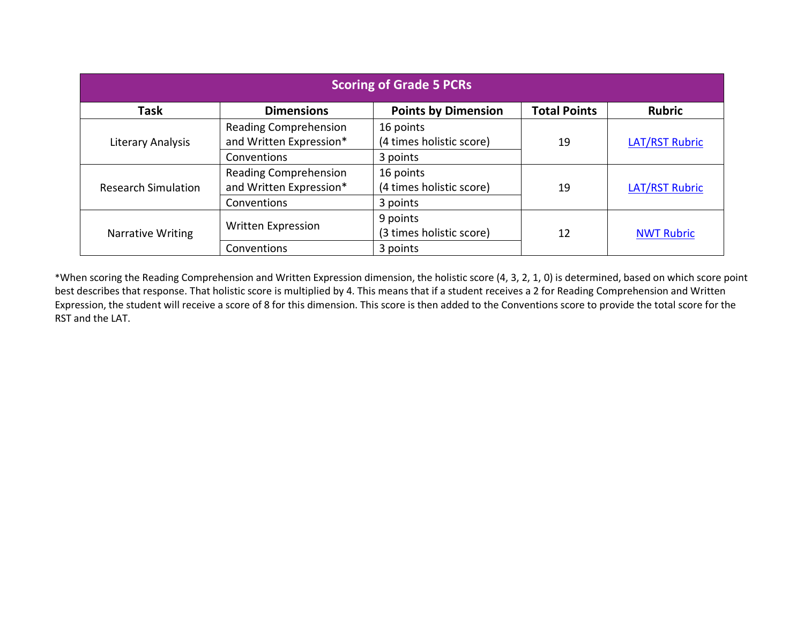<span id="page-16-0"></span>

| <b>Scoring of Grade 5 PCRs</b>                                                                         |                              |                          |    |                       |  |
|--------------------------------------------------------------------------------------------------------|------------------------------|--------------------------|----|-----------------------|--|
| <b>Points by Dimension</b><br><b>Total Points</b><br><b>Dimensions</b><br><b>Rubric</b><br><b>Task</b> |                              |                          |    |                       |  |
|                                                                                                        | <b>Reading Comprehension</b> | 16 points                |    |                       |  |
| Literary Analysis                                                                                      | and Written Expression*      | (4 times holistic score) | 19 | <b>LAT/RST Rubric</b> |  |
|                                                                                                        | Conventions                  | 3 points                 |    |                       |  |
| <b>Research Simulation</b>                                                                             | <b>Reading Comprehension</b> | 16 points                |    |                       |  |
|                                                                                                        | and Written Expression*      | (4 times holistic score) | 19 | <b>LAT/RST Rubric</b> |  |
|                                                                                                        | Conventions                  | 3 points                 |    |                       |  |
| Narrative Writing                                                                                      |                              | 9 points                 |    |                       |  |
|                                                                                                        | Written Expression           | (3 times holistic score) | 12 | <b>NWT Rubric</b>     |  |
|                                                                                                        | Conventions                  | 3 points                 |    |                       |  |

\*When scoring the Reading Comprehension and Written Expression dimension, the holistic score (4, 3, 2, 1, 0) is determined, based on which score point best describes that response. That holistic score is multiplied by 4. This means that if a student receives a 2 for Reading Comprehension and Written Expression, the student will receive a score of 8 for this dimension. This score is then added to the Conventions score to provide the total score for the RST and the LAT.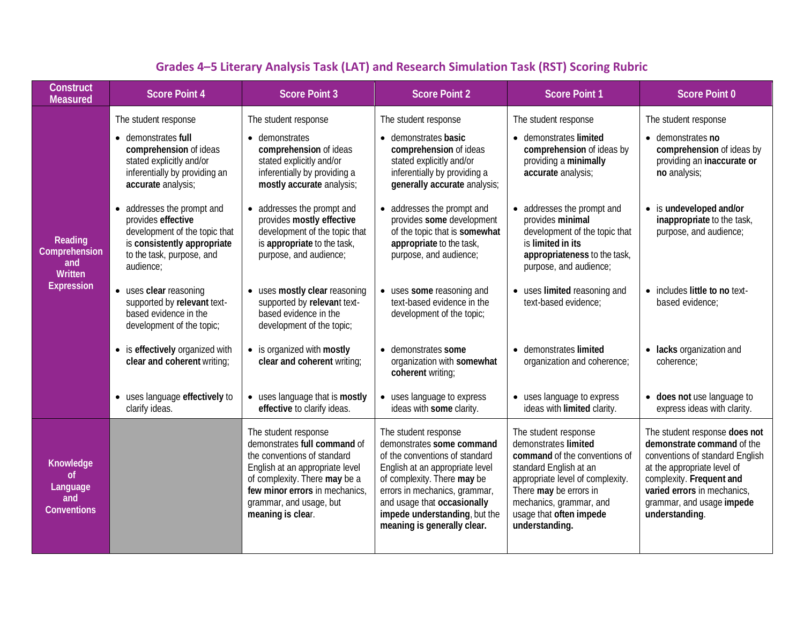<span id="page-17-0"></span>

| Construct<br><b>Measured</b>                                    | <b>Score Point 4</b>                                                                                                                                       | <b>Score Point 3</b>                                                                                                                                                                                                                      | <b>Score Point 2</b>                                                                                                                                                                                                                                                                  | <b>Score Point 1</b>                                                                                                                                                                                                                          | <b>Score Point 0</b>                                                                                                                                                                                                                    |
|-----------------------------------------------------------------|------------------------------------------------------------------------------------------------------------------------------------------------------------|-------------------------------------------------------------------------------------------------------------------------------------------------------------------------------------------------------------------------------------------|---------------------------------------------------------------------------------------------------------------------------------------------------------------------------------------------------------------------------------------------------------------------------------------|-----------------------------------------------------------------------------------------------------------------------------------------------------------------------------------------------------------------------------------------------|-----------------------------------------------------------------------------------------------------------------------------------------------------------------------------------------------------------------------------------------|
| Reading<br>Comprehension<br>and<br>Written<br><b>Expression</b> | The student response                                                                                                                                       | The student response                                                                                                                                                                                                                      | The student response                                                                                                                                                                                                                                                                  | The student response                                                                                                                                                                                                                          | The student response                                                                                                                                                                                                                    |
|                                                                 | • demonstrates full<br>comprehension of ideas<br>stated explicitly and/or<br>inferentially by providing an<br>accurate analysis;                           | • demonstrates<br>comprehension of ideas<br>stated explicitly and/or<br>inferentially by providing a<br>mostly accurate analysis;                                                                                                         | • demonstrates basic<br>comprehension of ideas<br>stated explicitly and/or<br>inferentially by providing a<br>generally accurate analysis;                                                                                                                                            | • demonstrates limited<br>comprehension of ideas by<br>providing a minimally<br>accurate analysis;                                                                                                                                            | • demonstrates no<br>comprehension of ideas by<br>providing an inaccurate or<br>no analysis;                                                                                                                                            |
|                                                                 | • addresses the prompt and<br>provides effective<br>development of the topic that<br>is consistently appropriate<br>to the task, purpose, and<br>audience; | addresses the prompt and<br>provides mostly effective<br>development of the topic that<br>is appropriate to the task,<br>purpose, and audience;                                                                                           | • addresses the prompt and<br>provides some development<br>of the topic that is somewhat<br>appropriate to the task,<br>purpose, and audience;                                                                                                                                        | • addresses the prompt and<br>provides minimal<br>development of the topic that<br>is limited in its<br>appropriateness to the task,<br>purpose, and audience;                                                                                | • is undeveloped and/or<br>inappropriate to the task,<br>purpose, and audience;                                                                                                                                                         |
|                                                                 | • uses clear reasoning<br>supported by relevant text-<br>based evidence in the<br>development of the topic;                                                | uses mostly clear reasoning<br>supported by relevant text-<br>based evidence in the<br>development of the topic;                                                                                                                          | • uses some reasoning and<br>text-based evidence in the<br>development of the topic;                                                                                                                                                                                                  | • uses limited reasoning and<br>text-based evidence:                                                                                                                                                                                          | • includes little to no text-<br>based evidence:                                                                                                                                                                                        |
|                                                                 | • is effectively organized with<br>clear and coherent writing;                                                                                             | • is organized with mostly<br>clear and coherent writing;                                                                                                                                                                                 | • demonstrates some<br>organization with somewhat<br>coherent writing;                                                                                                                                                                                                                | • demonstrates limited<br>organization and coherence;                                                                                                                                                                                         | • lacks organization and<br>coherence;                                                                                                                                                                                                  |
|                                                                 | • uses language effectively to<br>clarify ideas.                                                                                                           | • uses language that is mostly<br>effective to clarify ideas.                                                                                                                                                                             | • uses language to express<br>ideas with some clarity.                                                                                                                                                                                                                                | • uses language to express<br>ideas with limited clarity.                                                                                                                                                                                     | • does not use language to<br>express ideas with clarity.                                                                                                                                                                               |
| Knowledge<br>of<br>Language<br>and<br><b>Conventions</b>        |                                                                                                                                                            | The student response<br>demonstrates full command of<br>the conventions of standard<br>English at an appropriate level<br>of complexity. There may be a<br>few minor errors in mechanics,<br>grammar, and usage, but<br>meaning is clear. | The student response<br>demonstrates some command<br>of the conventions of standard<br>English at an appropriate level<br>of complexity. There may be<br>errors in mechanics, grammar,<br>and usage that occasionally<br>impede understanding, but the<br>meaning is generally clear. | The student response<br>demonstrates limited<br>command of the conventions of<br>standard English at an<br>appropriate level of complexity.<br>There may be errors in<br>mechanics, grammar, and<br>usage that often impede<br>understanding. | The student response does not<br>demonstrate command of the<br>conventions of standard English<br>at the appropriate level of<br>complexity. Frequent and<br>varied errors in mechanics,<br>grammar, and usage impede<br>understanding. |

# **Grades 4–5 Literary Analysis Task (LAT) and Research Simulation Task (RST) Scoring Rubric**